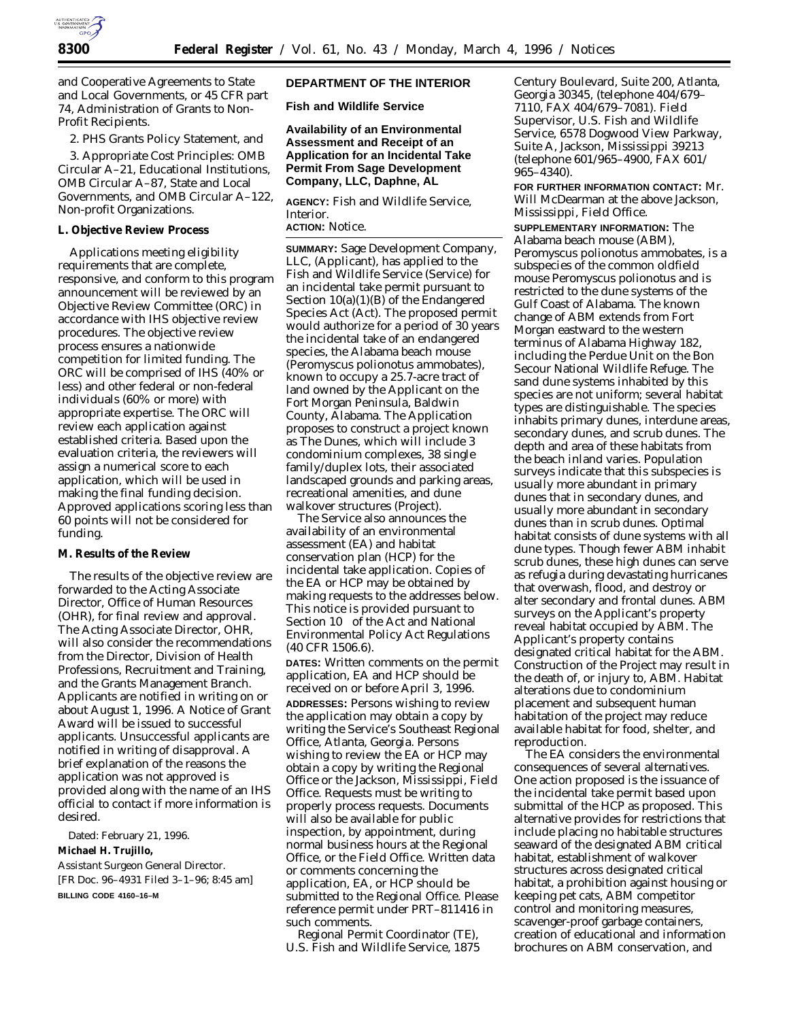

and Cooperative Agreements to State and Local Governments, or 45 CFR part 74, Administration of Grants to Non-Profit Recipients.

2. PHS Grants Policy Statement, and

3. Appropriate Cost Principles: OMB Circular A–21, Educational Institutions, OMB Circular A–87, State and Local Governments, and OMB Circular A–122, Non-profit Organizations.

#### **L. Objective Review Process**

Applications meeting eligibility requirements that are complete, responsive, and conform to this program announcement will be reviewed by an Objective Review Committee (ORC) in accordance with IHS objective review procedures. The objective review process ensures a nationwide competition for limited funding. The ORC will be comprised of IHS (40% or less) and other federal or non-federal individuals (60% or more) with appropriate expertise. The ORC will review each application against established criteria. Based upon the evaluation criteria, the reviewers will assign a numerical score to each application, which will be used in making the final funding decision. Approved applications scoring less than 60 points will not be considered for funding.

### **M. Results of the Review**

The results of the objective review are forwarded to the Acting Associate Director, Office of Human Resources (OHR), for final review and approval. The Acting Associate Director, OHR, will also consider the recommendations from the Director, Division of Health Professions, Recruitment and Training, and the Grants Management Branch. Applicants are notified in writing on or about August 1, 1996. A Notice of Grant Award will be issued to successful applicants. Unsuccessful applicants are notified in writing of disapproval. A brief explanation of the reasons the application was not approved is provided along with the name of an IHS official to contact if more information is desired.

Dated: February 21, 1996.

#### **Michael H. Trujillo,**

*Assistant Surgeon General Director.* [FR Doc. 96–4931 Filed 3–1–96; 8:45 am] **BILLING CODE 4160–16–M**

## **DEPARTMENT OF THE INTERIOR**

**Fish and Wildlife Service**

**Availability of an Environmental Assessment and Receipt of an Application for an Incidental Take Permit From Sage Development Company, LLC, Daphne, AL**

**AGENCY:** Fish and Wildlife Service, Interior.

# **ACTION:** Notice.

**SUMMARY:** Sage Development Company, LLC, (Applicant), has applied to the Fish and Wildlife Service (Service) for an incidental take permit pursuant to Section  $10(a)(1)(B)$  of the Endangered Species Act (Act). The proposed permit would authorize for a period of 30 years the incidental take of an endangered species, the Alabama beach mouse (*Peromyscus polionotus ammobates*), known to occupy a 25.7-acre tract of land owned by the Applicant on the Fort Morgan Peninsula, Baldwin County, Alabama. The Application proposes to construct a project known as The Dunes, which will include 3 condominium complexes, 38 single family/duplex lots, their associated landscaped grounds and parking areas, recreational amenities, and dune walkover structures (Project).

The Service also announces the availability of an environmental assessment (EA) and habitat conservation plan (HCP) for the incidental take application. Copies of the EA or HCP may be obtained by making requests to the addresses below. This notice is provided pursuant to Section  $10^{\circ}$  of the Act and National Environmental Policy Act Regulations (40 CFR 1506.6).

**DATES:** Written comments on the permit application, EA and HCP should be received on or before April 3, 1996. **ADDRESSES:** Persons wishing to review the application may obtain a copy by writing the Service's Southeast Regional Office, Atlanta, Georgia. Persons wishing to review the EA or HCP may obtain a copy by writing the Regional Office or the Jackson, Mississippi, Field Office. Requests must be writing to properly process requests. Documents will also be available for public inspection, by appointment, during normal business hours at the Regional Office, or the Field Office. Written data or comments concerning the application, EA, or HCP should be submitted to the Regional Office. Please reference permit under PRT–811416 in such comments.

Regional Permit Coordinator (TE), U.S. Fish and Wildlife Service, 1875

Century Boulevard, Suite 200, Atlanta, Georgia 30345, (telephone 404/679– 7110, FAX 404/679–7081). Field Supervisor, U.S. Fish and Wildlife Service, 6578 Dogwood View Parkway, Suite A, Jackson, Mississippi 39213 (telephone 601/965–4900, FAX 601/ 965–4340).

**FOR FURTHER INFORMATION CONTACT:** Mr. Will McDearman at the above Jackson, Mississippi, Field Office.

**SUPPLEMENTARY INFORMATION:** The Alabama beach mouse (ABM), *Peromyscus polionotus ammobates,* is a subspecies of the common oldfield mouse *Peromyscus polionotus* and is restricted to the dune systems of the Gulf Coast of Alabama. The known change of ABM extends from Fort Morgan eastward to the western terminus of Alabama Highway 182, including the Perdue Unit on the Bon Secour National Wildlife Refuge. The sand dune systems inhabited by this species are not uniform; several habitat types are distinguishable. The species inhabits primary dunes, interdune areas, secondary dunes, and scrub dunes. The depth and area of these habitats from the beach inland varies. Population surveys indicate that this subspecies is usually more abundant in primary dunes that in secondary dunes, and usually more abundant in secondary dunes than in scrub dunes. Optimal habitat consists of dune systems with all dune types. Though fewer ABM inhabit scrub dunes, these high dunes can serve as refugia during devastating hurricanes that overwash, flood, and destroy or alter secondary and frontal dunes. ABM surveys on the Applicant's property reveal habitat occupied by ABM. The Applicant's property contains designated critical habitat for the ABM. Construction of the Project may result in the death of, or injury to, ABM. Habitat alterations due to condominium placement and subsequent human habitation of the project may reduce available habitat for food, shelter, and reproduction.

The EA considers the environmental consequences of several alternatives. One action proposed is the issuance of the incidental take permit based upon submittal of the HCP as proposed. This alternative provides for restrictions that include placing no habitable structures seaward of the designated ABM critical habitat, establishment of walkover structures across designated critical habitat, a prohibition against housing or keeping pet cats, ABM competitor control and monitoring measures, scavenger-proof garbage containers, creation of educational and information brochures on ABM conservation, and